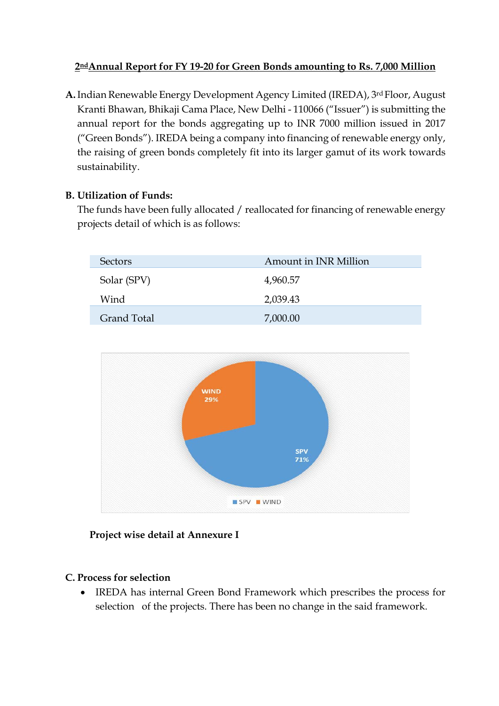### **2ndAnnual Report for FY 19-20 for Green Bonds amounting to Rs. 7,000 Million**

**A.**Indian Renewable Energy Development Agency Limited (IREDA), 3rd Floor, August Kranti Bhawan, Bhikaji Cama Place, New Delhi - 110066 ("Issuer") is submitting the annual report for the bonds aggregating up to INR 7000 million issued in 2017 ("Green Bonds"). IREDA being a company into financing of renewable energy only, the raising of green bonds completely fit into its larger gamut of its work towards sustainability.

#### **B. Utilization of Funds:**

The funds have been fully allocated / reallocated for financing of renewable energy projects detail of which is as follows:

| <b>Sectors</b>     | Amount in INR Million |  |  |
|--------------------|-----------------------|--|--|
| Solar (SPV)        | 4,960.57              |  |  |
| Wind               | 2,039.43              |  |  |
| <b>Grand Total</b> | 7,000.00              |  |  |



#### **Project wise detail at Annexure I**

#### **C. Process for selection**

• IREDA has internal Green Bond Framework which prescribes the process for selection of the projects. There has been no change in the said framework.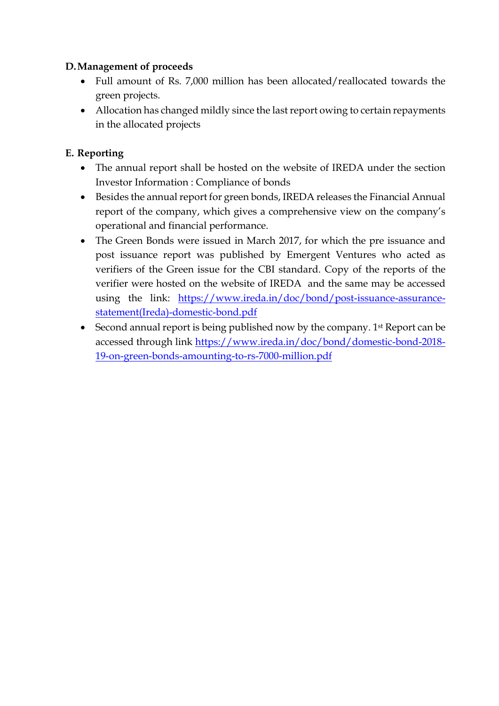### **D.Management of proceeds**

- Full amount of Rs. 7,000 million has been allocated/reallocated towards the green projects.
- Allocation has changed mildly since the last report owing to certain repayments in the allocated projects

## **E. Reporting**

- The annual report shall be hosted on the website of IREDA under the section Investor Information : Compliance of bonds
- Besides the annual report for green bonds, IREDA releases the Financial Annual report of the company, which gives a comprehensive view on the company's operational and financial performance.
- The Green Bonds were issued in March 2017, for which the pre issuance and post issuance report was published by Emergent Ventures who acted as verifiers of the Green issue for the CBI standard. Copy of the reports of the verifier were hosted on the website of IREDA and the same may be accessed using the link: [https://www.ireda.in/doc/bond/post-issuance-assurance](https://www.ireda.in/doc/bond/post-issuance-assurance-statement(Ireda)-domestic-bond.pdf)[statement\(Ireda\)-domestic-bond.pdf](https://www.ireda.in/doc/bond/post-issuance-assurance-statement(Ireda)-domestic-bond.pdf)
- Second annual report is being published now by the company. 1<sup>st</sup> Report can be accessed through link [https://www.ireda.in/doc/bond/domestic-bond-2018-](https://www.ireda.in/doc/bond/domestic-bond-2018-19-on-green-bonds-amounting-to-rs-7000-million.pdf) [19-on-green-bonds-amounting-to-rs-7000-million.pdf](https://www.ireda.in/doc/bond/domestic-bond-2018-19-on-green-bonds-amounting-to-rs-7000-million.pdf)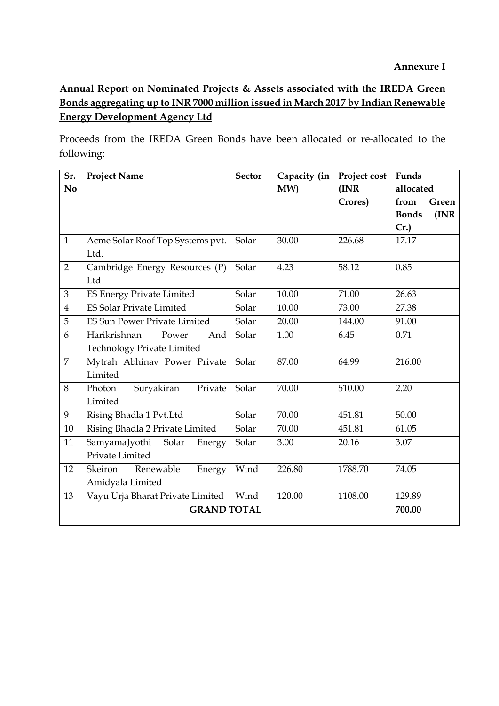# **Annual Report on Nominated Projects & Assets associated with the IREDA Green Bonds aggregating up to INR 7000 million issued in March 2017 by Indian Renewable Energy Development Agency Ltd**

Proceeds from the IREDA Green Bonds have been allocated or re-allocated to the following:

| Sr.                | <b>Project Name</b>                 | <b>Sector</b> | Capacity (in | Project cost | Funds                 |
|--------------------|-------------------------------------|---------------|--------------|--------------|-----------------------|
| N <sub>o</sub>     |                                     |               | MW)          | (INR)        | allocated             |
|                    |                                     |               |              | Crores)      | from<br>Green         |
|                    |                                     |               |              |              | (INR)<br><b>Bonds</b> |
|                    |                                     |               |              |              | Cr.                   |
| $\mathbf{1}$       | Acme Solar Roof Top Systems pvt.    | Solar         | 30.00        | 226.68       | 17.17                 |
|                    | Ltd.                                |               |              |              |                       |
| $\overline{2}$     | Cambridge Energy Resources (P)      | Solar         | 4.23         | 58.12        | 0.85                  |
|                    | Ltd                                 |               |              |              |                       |
| 3                  | <b>ES Energy Private Limited</b>    | Solar         | 10.00        | 71.00        | 26.63                 |
| $\overline{4}$     | <b>ES Solar Private Limited</b>     | Solar         | 10.00        | 73.00        | 27.38                 |
| 5                  | <b>ES Sun Power Private Limited</b> | Solar         | 20.00        | 144.00       | 91.00                 |
| 6                  | Harikrishnan<br>And<br>Power        | Solar         | 1.00         | 6.45         | 0.71                  |
|                    | <b>Technology Private Limited</b>   |               |              |              |                       |
| $\overline{7}$     | Mytrah Abhinav Power Private        | Solar         | 87.00        | 64.99        | 216.00                |
|                    | Limited                             |               |              |              |                       |
| 8                  | Photon<br>Private<br>Suryakiran     | Solar         | 70.00        | 510.00       | 2.20                  |
|                    | Limited                             |               |              |              |                       |
| 9                  | Rising Bhadla 1 Pvt.Ltd             | Solar         | 70.00        | 451.81       | 50.00                 |
| 10                 | Rising Bhadla 2 Private Limited     | Solar         | 70.00        | 451.81       | 61.05                 |
| 11                 | SamyamaJyothi Solar<br>Energy       | Solar         | 3.00         | 20.16        | 3.07                  |
|                    | Private Limited                     |               |              |              |                       |
| 12                 | Renewable<br>Skeiron<br>Energy      | Wind          | 226.80       | 1788.70      | 74.05                 |
|                    | Amidyala Limited                    |               |              |              |                       |
| 13                 | Vayu Urja Bharat Private Limited    | Wind          | 120.00       | 1108.00      | 129.89                |
| <b>GRAND TOTAL</b> |                                     |               |              |              | 700.00                |
|                    |                                     |               |              |              |                       |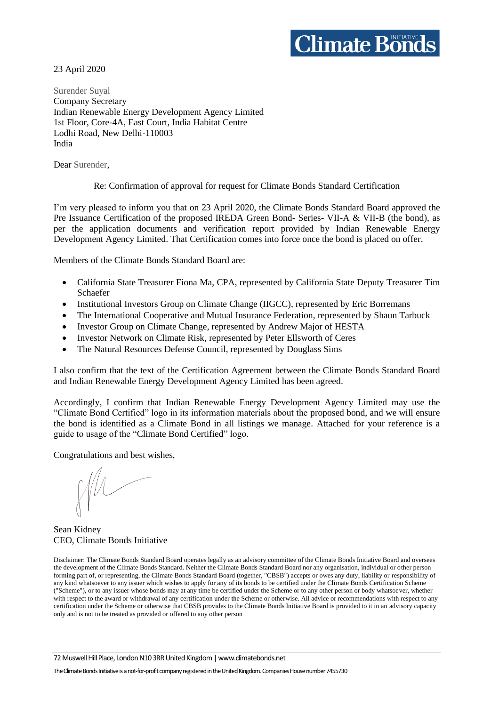# $\mathop{\hbox{\rm \bf C}}$ limate Bonds

23 April 2020

Surender Suyal Company Secretary Indian Renewable Energy Development Agency Limited 1st Floor, Core-4A, East Court, India Habitat Centre Lodhi Road, New Delhi-110003 India

Dear Surender,

#### Re: Confirmation of approval for request for Climate Bonds Standard Certification

I'm very pleased to inform you that on 23 April 2020, the Climate Bonds Standard Board approved the Pre Issuance Certification of the proposed IREDA Green Bond- Series- VII-A & VII-B (the bond), as per the application documents and verification report provided by Indian Renewable Energy Development Agency Limited. That Certification comes into force once the bond is placed on offer.

Members of the Climate Bonds Standard Board are:

- California State Treasurer Fiona Ma, CPA, represented by California State Deputy Treasurer Tim Schaefer
- Institutional Investors Group on Climate Change (IIGCC), represented by Eric Borremans
- The International Cooperative and Mutual Insurance Federation, represented by Shaun Tarbuck
- Investor Group on Climate Change, represented by Andrew Major of HESTA
- Investor Network on Climate Risk, represented by Peter Ellsworth of Ceres
- The Natural Resources Defense Council, represented by Douglass Sims

I also confirm that the text of the Certification Agreement between the Climate Bonds Standard Board and Indian Renewable Energy Development Agency Limited has been agreed.

Accordingly, I confirm that Indian Renewable Energy Development Agency Limited may use the "Climate Bond Certified" logo in its information materials about the proposed bond, and we will ensure the bond is identified as a Climate Bond in all listings we manage. Attached for your reference is a guide to usage of the "Climate Bond Certified" logo.

Congratulations and best wishes,

Sean Kidney CEO, Climate Bonds Initiative

Disclaimer: The Climate Bonds Standard Board operates legally as an advisory committee of the Climate Bonds Initiative Board and oversees the development of the Climate Bonds Standard. Neither the Climate Bonds Standard Board nor any organisation, individual or other person forming part of, or representing, the Climate Bonds Standard Board (together, "CBSB") accepts or owes any duty, liability or responsibility of any kind whatsoever to any issuer which wishes to apply for any of its bonds to be certified under the Climate Bonds Certification Scheme ("Scheme"), or to any issuer whose bonds may at any time be certified under the Scheme or to any other person or body whatsoever, whether with respect to the award or withdrawal of any certification under the Scheme or otherwise. All advice or recommendations with respect to any certification under the Scheme or otherwise that CBSB provides to the Climate Bonds Initiative Board is provided to it in an advisory capacity only and is not to be treated as provided or offered to any other person